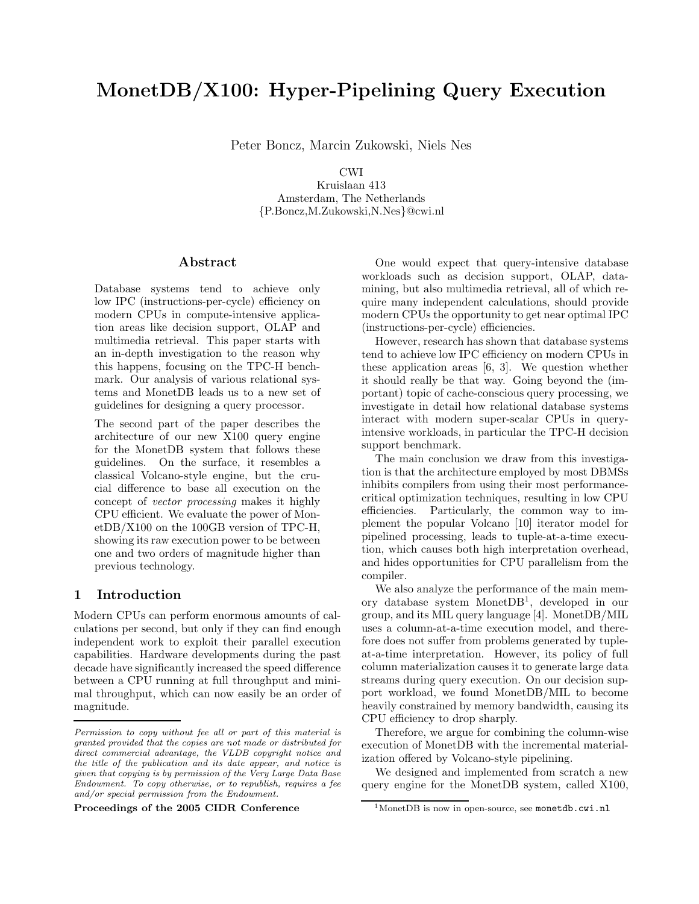# MonetDB/X100: Hyper-Pipelining Query Execution

Peter Boncz, Marcin Zukowski, Niels Nes

CWI

Kruislaan 413 Amsterdam, The Netherlands {P.Boncz,M.Zukowski,N.Nes}@cwi.nl

# Abstract

Database systems tend to achieve only low IPC (instructions-per-cycle) efficiency on modern CPUs in compute-intensive application areas like decision support, OLAP and multimedia retrieval. This paper starts with an in-depth investigation to the reason why this happens, focusing on the TPC-H benchmark. Our analysis of various relational systems and MonetDB leads us to a new set of guidelines for designing a query processor.

The second part of the paper describes the architecture of our new X100 query engine for the MonetDB system that follows these guidelines. On the surface, it resembles a classical Volcano-style engine, but the crucial difference to base all execution on the concept of vector processing makes it highly CPU efficient. We evaluate the power of MonetDB/X100 on the 100GB version of TPC-H, showing its raw execution power to be between one and two orders of magnitude higher than previous technology.

# 1 Introduction

Modern CPUs can perform enormous amounts of calculations per second, but only if they can find enough independent work to exploit their parallel execution capabilities. Hardware developments during the past decade have significantly increased the speed difference between a CPU running at full throughput and minimal throughput, which can now easily be an order of magnitude.

Proceedings of the 2005 CIDR Conference

One would expect that query-intensive database workloads such as decision support, OLAP, datamining, but also multimedia retrieval, all of which require many independent calculations, should provide modern CPUs the opportunity to get near optimal IPC (instructions-per-cycle) efficiencies.

However, research has shown that database systems tend to achieve low IPC efficiency on modern CPUs in these application areas [6, 3]. We question whether it should really be that way. Going beyond the (important) topic of cache-conscious query processing, we investigate in detail how relational database systems interact with modern super-scalar CPUs in queryintensive workloads, in particular the TPC-H decision support benchmark.

The main conclusion we draw from this investigation is that the architecture employed by most DBMSs inhibits compilers from using their most performancecritical optimization techniques, resulting in low CPU efficiencies. Particularly, the common way to implement the popular Volcano [10] iterator model for pipelined processing, leads to tuple-at-a-time execution, which causes both high interpretation overhead, and hides opportunities for CPU parallelism from the compiler.

We also analyze the performance of the main memory database system MonetDB<sup>1</sup> , developed in our group, and its MIL query language [4]. MonetDB/MIL uses a column-at-a-time execution model, and therefore does not suffer from problems generated by tupleat-a-time interpretation. However, its policy of full column materialization causes it to generate large data streams during query execution. On our decision support workload, we found MonetDB/MIL to become heavily constrained by memory bandwidth, causing its CPU efficiency to drop sharply.

Therefore, we argue for combining the column-wise execution of MonetDB with the incremental materialization offered by Volcano-style pipelining.

We designed and implemented from scratch a new query engine for the MonetDB system, called X100,

Permission to copy without fee all or part of this material is granted provided that the copies are not made or distributed for direct commercial advantage, the VLDB copyright notice and the title of the publication and its date appear, and notice is given that copying is by permission of the Very Large Data Base Endowment. To copy otherwise, or to republish, requires a fee and/or special permission from the Endowment.

<sup>&</sup>lt;sup>1</sup>MonetDB is now in open-source, see monetdb.cwi.nl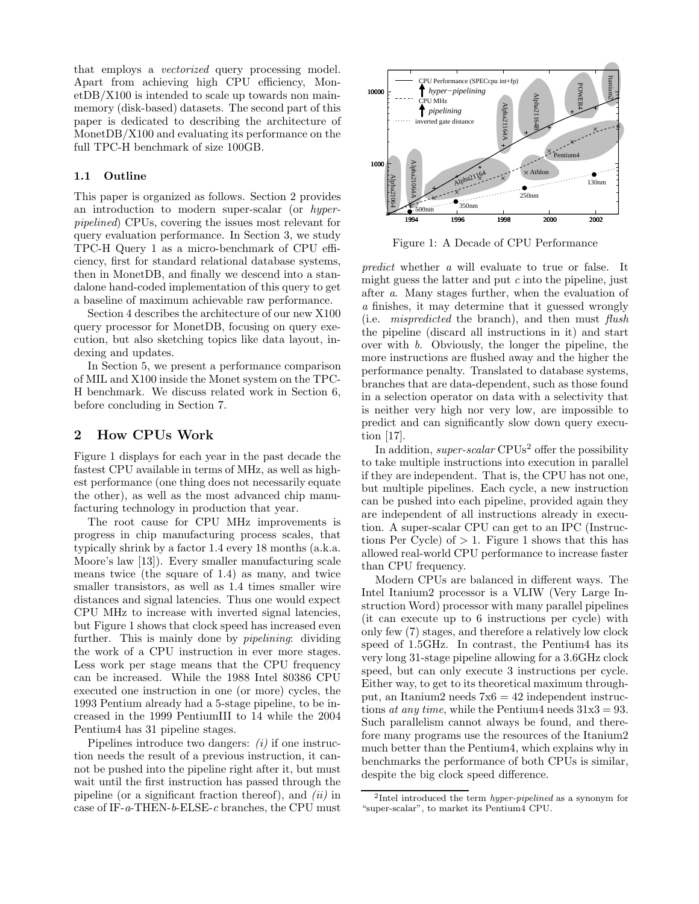that employs a vectorized query processing model. Apart from achieving high CPU efficiency, MonetDB/X100 is intended to scale up towards non mainmemory (disk-based) datasets. The second part of this paper is dedicated to describing the architecture of MonetDB/X100 and evaluating its performance on the full TPC-H benchmark of size 100GB.

## 1.1 Outline

This paper is organized as follows. Section 2 provides an introduction to modern super-scalar (or hyperpipelined) CPUs, covering the issues most relevant for query evaluation performance. In Section 3, we study TPC-H Query 1 as a micro-benchmark of CPU efficiency, first for standard relational database systems, then in MonetDB, and finally we descend into a standalone hand-coded implementation of this query to get a baseline of maximum achievable raw performance.

Section 4 describes the architecture of our new X100 query processor for MonetDB, focusing on query execution, but also sketching topics like data layout, indexing and updates.

In Section 5, we present a performance comparison of MIL and X100 inside the Monet system on the TPC-H benchmark. We discuss related work in Section 6, before concluding in Section 7.

# 2 How CPUs Work

Figure 1 displays for each year in the past decade the fastest CPU available in terms of MHz, as well as highest performance (one thing does not necessarily equate the other), as well as the most advanced chip manufacturing technology in production that year.

The root cause for CPU MHz improvements is progress in chip manufacturing process scales, that typically shrink by a factor 1.4 every 18 months (a.k.a. Moore's law [13]). Every smaller manufacturing scale means twice (the square of 1.4) as many, and twice smaller transistors, as well as 1.4 times smaller wire distances and signal latencies. Thus one would expect CPU MHz to increase with inverted signal latencies, but Figure 1 shows that clock speed has increased even further. This is mainly done by *pipelining*: dividing the work of a CPU instruction in ever more stages. Less work per stage means that the CPU frequency can be increased. While the 1988 Intel 80386 CPU executed one instruction in one (or more) cycles, the 1993 Pentium already had a 5-stage pipeline, to be increased in the 1999 PentiumIII to 14 while the 2004 Pentium4 has 31 pipeline stages.

Pipelines introduce two dangers:  $(i)$  if one instruction needs the result of a previous instruction, it cannot be pushed into the pipeline right after it, but must wait until the first instruction has passed through the pipeline (or a significant fraction thereof), and  $(ii)$  in case of IF- $a$ -THEN- $b$ -ELSE-c branches, the CPU must



Figure 1: A Decade of CPU Performance

predict whether a will evaluate to true or false. It might guess the latter and put  $c$  into the pipeline, just after a. Many stages further, when the evaluation of a finishes, it may determine that it guessed wrongly (i.e. mispredicted the branch), and then must flush the pipeline (discard all instructions in it) and start over with b. Obviously, the longer the pipeline, the more instructions are flushed away and the higher the performance penalty. Translated to database systems, branches that are data-dependent, such as those found in a selection operator on data with a selectivity that is neither very high nor very low, are impossible to predict and can significantly slow down query execution [17].

In addition, *super-scalar* CPUs<sup>2</sup> offer the possibility to take multiple instructions into execution in parallel if they are independent. That is, the CPU has not one, but multiple pipelines. Each cycle, a new instruction can be pushed into each pipeline, provided again they are independent of all instructions already in execution. A super-scalar CPU can get to an IPC (Instructions Per Cycle) of  $> 1$ . Figure 1 shows that this has allowed real-world CPU performance to increase faster than CPU frequency.

Modern CPUs are balanced in different ways. The Intel Itanium2 processor is a VLIW (Very Large Instruction Word) processor with many parallel pipelines (it can execute up to 6 instructions per cycle) with only few (7) stages, and therefore a relatively low clock speed of 1.5GHz. In contrast, the Pentium4 has its very long 31-stage pipeline allowing for a 3.6GHz clock speed, but can only execute 3 instructions per cycle. Either way, to get to its theoretical maximum throughput, an Itanium2 needs 7x6 = 42 independent instructions at any time, while the Pentium4 needs  $31x3 = 93$ . Such parallelism cannot always be found, and therefore many programs use the resources of the Itanium2 much better than the Pentium4, which explains why in benchmarks the performance of both CPUs is similar, despite the big clock speed difference.

<sup>&</sup>lt;sup>2</sup>Intel introduced the term *hyper-pipelined* as a synonym for "super-scalar", to market its Pentium4 CPU.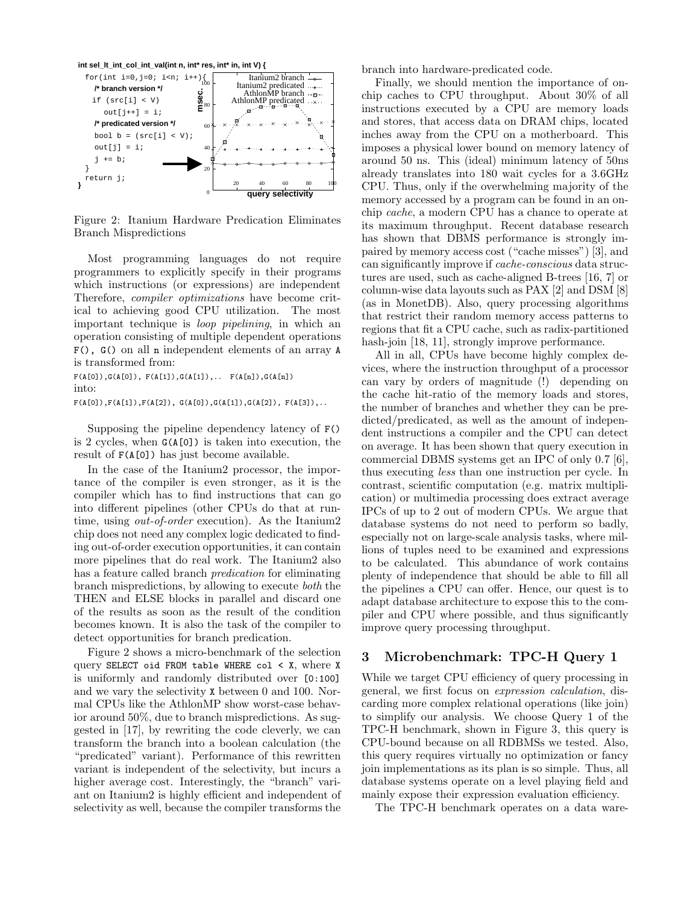

Figure 2: Itanium Hardware Predication Eliminates Branch Mispredictions

Most programming languages do not require programmers to explicitly specify in their programs which instructions (or expressions) are independent Therefore, compiler optimizations have become critical to achieving good CPU utilization. The most important technique is loop pipelining, in which an operation consisting of multiple dependent operations F(), G() on all n independent elements of an array A is transformed from:

 $F(A[0]), G(A[0]), F(A[1]), G(A[1]),... F(A[n]), G(A[n])$ into:

 $F(A[0]), F(A[1]), F(A[2]), G(A[0]), G(A[1]), G(A[2]), F(A[3]),...$ 

Supposing the pipeline dependency latency of F() is 2 cycles, when G(A[0]) is taken into execution, the result of F(A[0]) has just become available.

In the case of the Itanium2 processor, the importance of the compiler is even stronger, as it is the compiler which has to find instructions that can go into different pipelines (other CPUs do that at runtime, using *out-of-order* execution). As the Itanium2 chip does not need any complex logic dedicated to finding out-of-order execution opportunities, it can contain more pipelines that do real work. The Itanium2 also has a feature called branch predication for eliminating branch mispredictions, by allowing to execute both the THEN and ELSE blocks in parallel and discard one of the results as soon as the result of the condition becomes known. It is also the task of the compiler to detect opportunities for branch predication.

Figure 2 shows a micro-benchmark of the selection query SELECT oid FROM table WHERE col  $\leq$  X, where X is uniformly and randomly distributed over [0:100] and we vary the selectivity X between 0 and 100. Normal CPUs like the AthlonMP show worst-case behavior around 50%, due to branch mispredictions. As suggested in [17], by rewriting the code cleverly, we can transform the branch into a boolean calculation (the "predicated" variant). Performance of this rewritten variant is independent of the selectivity, but incurs a higher average cost. Interestingly, the "branch" variant on Itanium2 is highly efficient and independent of selectivity as well, because the compiler transforms the branch into hardware-predicated code.

Finally, we should mention the importance of onchip caches to CPU throughput. About 30% of all instructions executed by a CPU are memory loads and stores, that access data on DRAM chips, located inches away from the CPU on a motherboard. This imposes a physical lower bound on memory latency of around 50 ns. This (ideal) minimum latency of 50ns already translates into 180 wait cycles for a 3.6GHz CPU. Thus, only if the overwhelming majority of the memory accessed by a program can be found in an onchip cache, a modern CPU has a chance to operate at its maximum throughput. Recent database research has shown that DBMS performance is strongly impaired by memory access cost ("cache misses") [3], and can significantly improve if cache-conscious data structures are used, such as cache-aligned B-trees [16, 7] or column-wise data layouts such as PAX [2] and DSM [8] (as in MonetDB). Also, query processing algorithms that restrict their random memory access patterns to regions that fit a CPU cache, such as radix-partitioned hash-join [18, 11], strongly improve performance.

All in all, CPUs have become highly complex devices, where the instruction throughput of a processor can vary by orders of magnitude (!) depending on the cache hit-ratio of the memory loads and stores, the number of branches and whether they can be predicted/predicated, as well as the amount of independent instructions a compiler and the CPU can detect on average. It has been shown that query execution in commercial DBMS systems get an IPC of only 0.7 [6], thus executing less than one instruction per cycle. In contrast, scientific computation (e.g. matrix multiplication) or multimedia processing does extract average IPCs of up to 2 out of modern CPUs. We argue that database systems do not need to perform so badly, especially not on large-scale analysis tasks, where millions of tuples need to be examined and expressions to be calculated. This abundance of work contains plenty of independence that should be able to fill all the pipelines a CPU can offer. Hence, our quest is to adapt database architecture to expose this to the compiler and CPU where possible, and thus significantly improve query processing throughput.

# 3 Microbenchmark: TPC-H Query 1

While we target CPU efficiency of query processing in general, we first focus on expression calculation, discarding more complex relational operations (like join) to simplify our analysis. We choose Query 1 of the TPC-H benchmark, shown in Figure 3, this query is CPU-bound because on all RDBMSs we tested. Also, this query requires virtually no optimization or fancy join implementations as its plan is so simple. Thus, all database systems operate on a level playing field and mainly expose their expression evaluation efficiency.

The TPC-H benchmark operates on a data ware-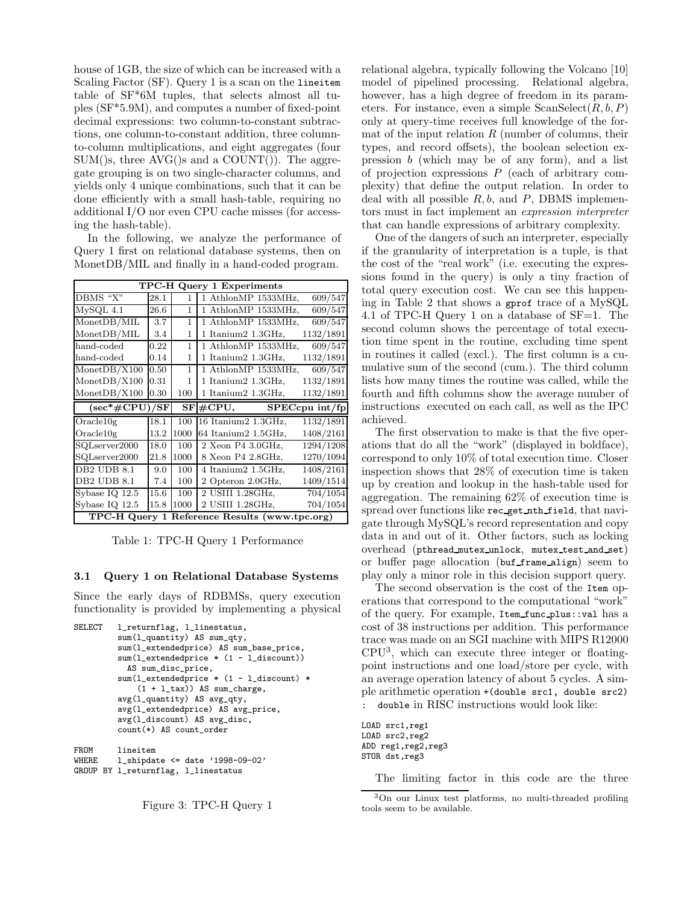house of 1GB, the size of which can be increased with a Scaling Factor (SF). Query 1 is a scan on the lineitem table of SF\*6M tuples, that selects almost all tuples (SF\*5.9M), and computes a number of fixed-point decimal expressions: two column-to-constant subtractions, one column-to-constant addition, three columnto-column multiplications, and eight aggregates (four  $SUM()s$ , three  $AVG()s$  and a  $COUNT()$ ). The aggregate grouping is on two single-character columns, and yields only 4 unique combinations, such that it can be done efficiently with a small hash-table, requiring no additional I/O nor even CPU cache misses (for accessing the hash-table).

In the following, we analyze the performance of Query 1 first on relational database systems, then on MonetDB/MIL and finally in a hand-coded program.

| <b>TPC-H Query 1 Experiments</b> |      |      |                     |                                                                                               |  |  |
|----------------------------------|------|------|---------------------|-----------------------------------------------------------------------------------------------|--|--|
| DBMS "X"                         | 28.1 | 1    | 1 AthlonMP 1533MHz, | 609/547                                                                                       |  |  |
| $MvSQL$ 4.1                      | 26.6 | 1    | 1 AthlonMP 1533MHz, | 609/547                                                                                       |  |  |
| MonetDB/MIL                      | 3.7  | 1    | 1 AthlonMP 1533MHz, | 609/547                                                                                       |  |  |
| MonetDB/MIL                      | 3.4  | 1    | 1 Itanium2 1.3GHz,  | 1132/1891                                                                                     |  |  |
| hand-coded                       | 0.22 | 1    | 1 AthlonMP 1533MHz, | 609/547                                                                                       |  |  |
| hand-coded                       | 0.14 | 1    | 1 Itanium2 1.3GHz,  | 1132/1891                                                                                     |  |  |
| MonetDB/X100                     | 0.50 | 1    | 1 AthlonMP 1533MHz, | 609/547                                                                                       |  |  |
| MonetDB/X100                     | 0.31 | 1    | 1 Itanium2 1.3GHz,  | 1132/1891                                                                                     |  |  |
| MonetDB/X100                     | 0.30 | 100  | 1 Itanium2 1.3GHz,  | 1132/1891                                                                                     |  |  |
|                                  |      |      |                     |                                                                                               |  |  |
| $(\sec^* \# CPU)/SF$             |      | SF   | $\#\mathrm{CPU},$   |                                                                                               |  |  |
| Oracle10g                        | 18.1 | 100  | 16 Itanium2 1.3GHz, |                                                                                               |  |  |
| Oracle10g                        | 13.2 | 1000 | 64 Itanium2 1.5GHz, | 1408/2161                                                                                     |  |  |
| SQLserver2000                    | 18.0 | 100  | 2 Xeon P4 3.0GHz,   |                                                                                               |  |  |
| SQLserver2000                    | 21.8 | 1000 | 8 Xeon P4 2.8GHz,   |                                                                                               |  |  |
| DB2 UDB 8.1                      | 9.0  | 100  | 4 Itanium2 1.5GHz,  | 1408/2161                                                                                     |  |  |
| DB2 UDB 8.1                      | 7.4  | 100  | 2 Opteron 2.0GHz,   |                                                                                               |  |  |
| Sybase $IQ$ $12.5$               | 15.6 | 100  | 2 USIII 1.28GHz,    |                                                                                               |  |  |
| Sybase $IQ$ $12.5$               | 15.8 | 1000 | 2 USIII 1.28GHz,    | $SPEC$ cpu int/fp<br>1132/1891<br>1294/1208<br>1270/1094<br>1409/1514<br>704/1054<br>704/1054 |  |  |

Table 1: TPC-H Query 1 Performance

#### 3.1 Query 1 on Relational Database Systems

Since the early days of RDBMSs, query execution functionality is provided by implementing a physical

```
SELECT l_returnflag, l_linestatus,
         sum(l_quantity) AS sum_qty,
         sum(l_extendedprice) AS sum_base_price,
         sum(l_extendedprice * (1 - l_discount))
           AS sum_disc_price,
         sum(l_extendedprice * (1 - l_discount) *
             (1 + l_tax)) AS sum_charge,
         avg(l_quantity) AS avg_qty,
         avg(l_extendedprice) AS avg_price,
         avg(l_discount) AS avg_disc,
         count(*) AS count_order
```
FROM lineitem WHERE  $1$ \_shipdate <= date '1998-09-02' GROUP BY l\_returnflag, l\_linestatus



relational algebra, typically following the Volcano [10] model of pipelined processing. Relational algebra, however, has a high degree of freedom in its parameters. For instance, even a simple  $ScanSelect(R, b, P)$ only at query-time receives full knowledge of the format of the input relation  $R$  (number of columns, their types, and record offsets), the boolean selection expression b (which may be of any form), and a list of projection expressions  $P$  (each of arbitrary complexity) that define the output relation. In order to deal with all possible  $R, b$ , and  $P$ , DBMS implementors must in fact implement an expression interpreter that can handle expressions of arbitrary complexity.

One of the dangers of such an interpreter, especially if the granularity of interpretation is a tuple, is that the cost of the "real work" (i.e. executing the expressions found in the query) is only a tiny fraction of total query execution cost. We can see this happening in Table 2 that shows a gprof trace of a MySQL 4.1 of TPC-H Query 1 on a database of SF=1. The second column shows the percentage of total execution time spent in the routine, excluding time spent in routines it called (excl.). The first column is a cumulative sum of the second (cum.). The third column lists how many times the routine was called, while the fourth and fifth columns show the average number of instructions executed on each call, as well as the IPC achieved.

The first observation to make is that the five operations that do all the "work" (displayed in boldface), correspond to only 10% of total execution time. Closer inspection shows that 28% of execution time is taken up by creation and lookup in the hash-table used for aggregation. The remaining 62% of execution time is spread over functions like rec get nth field, that navigate through MySQL's record representation and copy data in and out of it. Other factors, such as locking overhead (pthread mutex unlock, mutex test and set) or buffer page allocation (buf frame align) seem to play only a minor role in this decision support query.

The second observation is the cost of the Item operations that correspond to the computational "work" of the query. For example, Item func plus::val has a cost of 38 instructions per addition. This performance trace was made on an SGI machine with MIPS R12000 CPU<sup>3</sup> , which can execute three integer or floatingpoint instructions and one load/store per cycle, with an average operation latency of about 5 cycles. A simple arithmetic operation +(double src1, double src2) : double in RISC instructions would look like:

LOAD src1,reg1 LOAD src2,reg2 ADD reg1,reg2,reg3 STOR dst,reg3

The limiting factor in this code are the three

<sup>3</sup>On our Linux test platforms, no multi-threaded profiling tools seem to be available.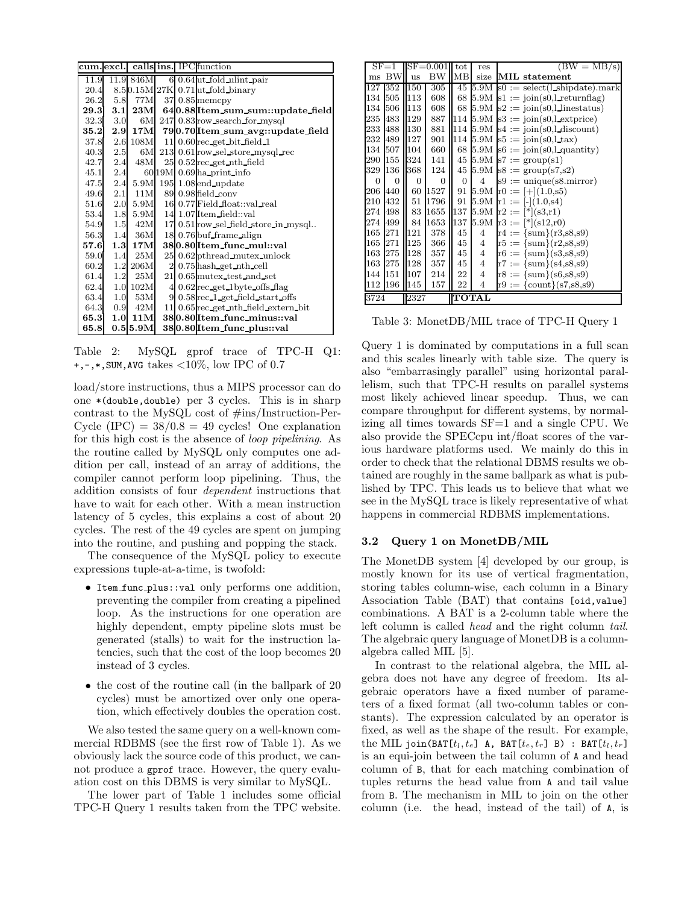| cum. excl. |      |                |    | calls ins. IPC function                        |  |
|------------|------|----------------|----|------------------------------------------------|--|
| 11.9       |      | 11.9 846M      |    | $6$ 0.64 ut fold ulint pair                    |  |
| 20.4       |      |                |    | 8.50.15M 27K 0.71ut fold binary                |  |
| 26.2       |      | 5.8 77M        |    | $37$ 0.85 memcpy                               |  |
|            |      |                |    | 29.3 3.1 23M 640.88 Item_sum_sum::update_field |  |
| 32.3       | 3.0  | 6M             |    | 247 0.83 row search for mysql                  |  |
|            |      | 35.2 2.9 17M   |    | 790.70 Item sum avg::update_field              |  |
| 37.8       |      | 2.6 108M       |    | $11$ 0.60 $rec$ get bit field 1                |  |
| 40.3       | -2.5 | 6M             |    | 213 0.61 row_sel_store_mysql_rec               |  |
| 42.7       | 2.4  | 48M            |    | $25$ 0.52 rec_get_nth_field                    |  |
| 45.1       | 2.4  |                |    | $60$ 19M $\mid$ 0.69 $\mid$ ha print info      |  |
|            |      | 47.5 2.4 5.9M  |    | $195\,$ $1.08\mathrm{end}$ update              |  |
| 49.6       | 2.1  | 11M            |    | $89$ 0.98 field conv                           |  |
|            |      | 51.6 2.0 5.9M  |    | 16 0.77 Field float: val real                  |  |
| 53.4       |      | 1.8 5.9M       |    | 14 1.07 Item field: val                        |  |
| 54.9       |      | 1.5 42M        |    | 17 0.51 row sel field store in mysql           |  |
|            |      | 56.3 1.4 36M   |    | 18 0.76 buf frame align                        |  |
| 57.6       |      | $1.3\,17M$     |    | 380.80 Item_func_mul::val                      |  |
| 59.0       | 1.4  | $25\mathrm{M}$ |    | 25 0.62 pthread mutex unlock                   |  |
| 60.2       |      | 1.2 206M       |    | 2 0.75 hash get nth cell                       |  |
| 61.4       | 1.2  | $25\rm{M}$     |    | 21 0.65 mutex test and set                     |  |
| 62.4       |      | 1.0102M        |    | $40.62$ rec_get_1byte_offs_flag                |  |
| 63.4       | 1.0  | 53M            | 9  | $0.58$ rec $\perp$ get field start offs        |  |
| 64.3       | 0.9  | 42M            | 11 | $0.65$ rec_get_nth_field_extern_bit            |  |
| 65.3       | 1.0  | 11M            |    | 380.80 Item_func_minus::val                    |  |
| 65.8       |      | 0.515.9M       |    | 380.80 Item func_plus::val                     |  |

Table 2: MySQL gprof trace of TPC-H Q1:  $+,-,*,$ SUM, AVG takes  $\langle 10\%, \text{ low IPC of } 0.7 \rangle$ 

load/store instructions, thus a MIPS processor can do one \*(double,double) per 3 cycles. This is in sharp contrast to the MySQL cost of #ins/Instruction-Per-Cycle  $(IPC) = 38/0.8 = 49$  cycles! One explanation for this high cost is the absence of loop pipelining. As the routine called by MySQL only computes one addition per call, instead of an array of additions, the compiler cannot perform loop pipelining. Thus, the addition consists of four dependent instructions that have to wait for each other. With a mean instruction latency of 5 cycles, this explains a cost of about 20 cycles. The rest of the 49 cycles are spent on jumping into the routine, and pushing and popping the stack.

The consequence of the MySQL policy to execute expressions tuple-at-a-time, is twofold:

- Item func plus::val only performs one addition, preventing the compiler from creating a pipelined loop. As the instructions for one operation are highly dependent, empty pipeline slots must be generated (stalls) to wait for the instruction latencies, such that the cost of the loop becomes 20 instead of 3 cycles.
- the cost of the routine call (in the ballpark of 20 cycles) must be amortized over only one operation, which effectively doubles the operation cost.

We also tested the same query on a well-known commercial RDBMS (see the first row of Table 1). As we obviously lack the source code of this product, we cannot produce a gprof trace. However, the query evaluation cost on this DBMS is very similar to MySQL.

The lower part of Table 1 includes some official TPC-H Query 1 results taken from the TPC website.

| $SF = 1$             | $SF = 0.001$    |              | tot        | res            | $(BW = MB/s)$                                       |
|----------------------|-----------------|--------------|------------|----------------|-----------------------------------------------------|
| <b>BW</b><br>ms      | <b>11S</b>      | BW           | <b>IMB</b> | size           | MIL statement                                       |
| 127<br>352           | 150             | 305          | 45         |                | $5.9M$ s0 := select(1 shipdate).mark                |
| 505<br>134           | 113             | 608          | 68         | 5.9M           | $s1 := \text{join}(s0, l \text{ returnflag})$       |
| 506<br>134           | 113             | 608          | 68         | 5.9M           | $s2 := \text{join}(s0, l \text{ linestatus})$       |
| 235<br>483           | 129             | 887          |            |                | 114 $5.9M$ s3 := join(s0,l exterice)                |
| 233 488              | 130             | 881          | 114        |                | $5.9M$ s4 := join(s0,l discount)                    |
| 232 489              | II27            | 901          | 114        |                | $5.9M$ s5 := join(s0,1 tax)                         |
| 134 507              | $\parallel$ 104 | 660          |            |                | 68 5.9M $s6 := \text{join}(s0, l \text{ quantity})$ |
| 290 155              | 324             | 141          | 45         |                | $5.9M$ s7 := group(s1)                              |
| 329 136              | 368             | 124          | 45         |                | $5.9M$ s8 := group(s7,s2)                           |
| $\Omega$<br>$\Omega$ | 0               | $\Omega$     | $\Omega$   | $\overline{4}$ | $s9 := unique(s8.mirror)$                           |
| 206 440              | 60              | 1527         | 91         |                | $5.9M \text{ }$ r0 := [+](1.0,s5)                   |
| 432<br>210           | 51              | 1796         | 91         |                | $5.9M$ r1 := $[-](1.0, s4)$                         |
| 274 498              | 83              | 1655         | 137        | 5.9M           | $r2 :=  *  (s3,r1)$                                 |
| 274 499              | 84              | 1653         | 137        | 5.9M           | $r3 :=$ $\binom{*}{s12,r0}$                         |
| 165 271              | 121             | 378          | 45         | 4              | $r4 := {sum}(r3, s8, s9)$                           |
| 271<br>165           | 125             | 366          | 45         | 4              | $r5 := {sum}(r2, s8, s9)$                           |
| 163 275              | 128             | 357          | 45         | 4              | $\text{r6} := \{ \text{sum} \} (s3, s8, s9)$        |
| 163 275              | 128             | 357          | 45         | $\overline{4}$ | $r7 := {sum}(s4, s8, s9)$                           |
| 144 151              | 107             | 214          | 22         | $\overline{4}$ | $r8 := {sum}(s6, s8, s9)$                           |
| 196<br>112           | 145             | 157          | 22         | 4              | $r9 := \{count\}(s7, s8, s9)$                       |
| 3724<br>2327         |                 | <b>TOTAL</b> |            |                |                                                     |

Table 3: MonetDB/MIL trace of TPC-H Query 1

Query 1 is dominated by computations in a full scan and this scales linearly with table size. The query is also "embarrasingly parallel" using horizontal parallelism, such that TPC-H results on parallel systems most likely achieved linear speedup. Thus, we can compare throughput for different systems, by normalizing all times towards SF=1 and a single CPU. We also provide the SPECcpu int/float scores of the various hardware platforms used. We mainly do this in order to check that the relational DBMS results we obtained are roughly in the same ballpark as what is published by TPC. This leads us to believe that what we see in the MySQL trace is likely representative of what happens in commercial RDBMS implementations.

#### 3.2 Query 1 on MonetDB/MIL

The MonetDB system [4] developed by our group, is mostly known for its use of vertical fragmentation, storing tables column-wise, each column in a Binary Association Table (BAT) that contains [oid,value] combinations. A BAT is a 2-column table where the left column is called head and the right column tail. The algebraic query language of MonetDB is a columnalgebra called MIL [5].

In contrast to the relational algebra, the MIL algebra does not have any degree of freedom. Its algebraic operators have a fixed number of parameters of a fixed format (all two-column tables or constants). The expression calculated by an operator is fixed, as well as the shape of the result. For example, the MIL join(BAT[ $t_l, t_e$ ] A, BAT[ $t_e, t_r$ ] B) : BAT[ $t_l, t_r$ ] is an equi-join between the tail column of A and head column of B, that for each matching combination of tuples returns the head value from A and tail value from B. The mechanism in MIL to join on the other column (i.e. the head, instead of the tail) of A, is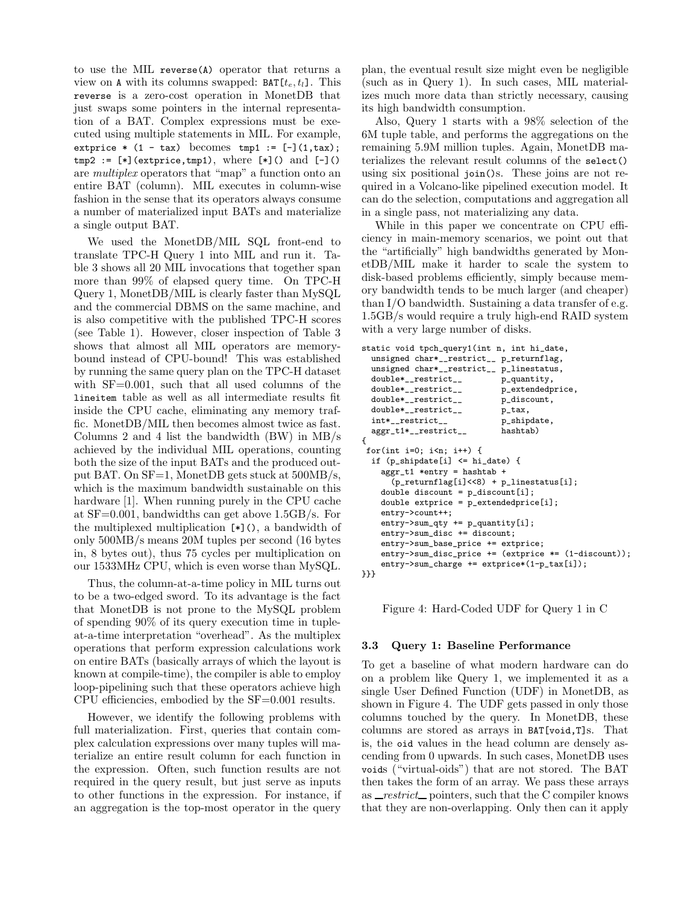to use the MIL reverse(A) operator that returns a view on A with its columns swapped:  $BAT[t_e, t_l]$ . This reverse is a zero-cost operation in MonetDB that just swaps some pointers in the internal representation of a BAT. Complex expressions must be executed using multiple statements in MIL. For example, extprice  $*$  (1 - tax) becomes tmp1 :=  $[-](1, \text{tax})$ ;  $tmp2 := [\ast] (extprice, tmp1), where [\ast]() and [-]()$ are multiplex operators that "map" a function onto an entire BAT (column). MIL executes in column-wise fashion in the sense that its operators always consume a number of materialized input BATs and materialize a single output BAT.

We used the MonetDB/MIL SQL front-end to translate TPC-H Query 1 into MIL and run it. Table 3 shows all 20 MIL invocations that together span more than 99% of elapsed query time. On TPC-H Query 1, MonetDB/MIL is clearly faster than MySQL and the commercial DBMS on the same machine, and is also competitive with the published TPC-H scores (see Table 1). However, closer inspection of Table 3 shows that almost all MIL operators are memorybound instead of CPU-bound! This was established by running the same query plan on the TPC-H dataset with SF=0.001, such that all used columns of the lineitem table as well as all intermediate results fit inside the CPU cache, eliminating any memory traffic. MonetDB/MIL then becomes almost twice as fast. Columns 2 and 4 list the bandwidth (BW) in MB/s achieved by the individual MIL operations, counting both the size of the input BATs and the produced output BAT. On SF=1, MonetDB gets stuck at 500MB/s, which is the maximum bandwidth sustainable on this hardware [1]. When running purely in the CPU cache at SF=0.001, bandwidths can get above 1.5GB/s. For the multiplexed multiplication [\*](), a bandwidth of only 500MB/s means 20M tuples per second (16 bytes in, 8 bytes out), thus 75 cycles per multiplication on our 1533MHz CPU, which is even worse than MySQL.

Thus, the column-at-a-time policy in MIL turns out to be a two-edged sword. To its advantage is the fact that MonetDB is not prone to the MySQL problem of spending 90% of its query execution time in tupleat-a-time interpretation "overhead". As the multiplex operations that perform expression calculations work on entire BATs (basically arrays of which the layout is known at compile-time), the compiler is able to employ loop-pipelining such that these operators achieve high CPU efficiencies, embodied by the SF=0.001 results.

However, we identify the following problems with full materialization. First, queries that contain complex calculation expressions over many tuples will materialize an entire result column for each function in the expression. Often, such function results are not required in the query result, but just serve as inputs to other functions in the expression. For instance, if an aggregation is the top-most operator in the query

plan, the eventual result size might even be negligible (such as in Query 1). In such cases, MIL materializes much more data than strictly necessary, causing its high bandwidth consumption.

Also, Query 1 starts with a 98% selection of the 6M tuple table, and performs the aggregations on the remaining 5.9M million tuples. Again, MonetDB materializes the relevant result columns of the select() using six positional join()s. These joins are not required in a Volcano-like pipelined execution model. It can do the selection, computations and aggregation all in a single pass, not materializing any data.

While in this paper we concentrate on CPU efficiency in main-memory scenarios, we point out that the "artificially" high bandwidths generated by MonetDB/MIL make it harder to scale the system to disk-based problems efficiently, simply because memory bandwidth tends to be much larger (and cheaper) than I/O bandwidth. Sustaining a data transfer of e.g. 1.5GB/s would require a truly high-end RAID system with a very large number of disks.

```
static void tpch_query1(int n, int hi_date,
  unsigned char*__restrict__ p_returnflag,
  unsigned char*__restrict__ p_linestatus,
  double*__restrict__ p_quantity,<br>double*__restrict__ p_extendedprice,
  double*_restrict__
  double*__restrict__ p_discount,<br>double*__restrict__ p_tax,
  double*__restrict__
  int*__restrict__ p_shipdate,
  aggr_t1*__restrict__ hashtab)
{
 for(int i=0; i<n; i++) {
  if (p_shipdate[i] <= hi_date) {
    aggr_t1 *entry = hashtab +
       (p_{\text{returnflag}[i] << 8) + p_{\text{linestatus}[i]};\texttt{double discount = p\_discount[i]};double extprice = p_extendedprice[i];
    entry->count++;
    entry->sum_qty += p_quantity[i];
    entry->sum_disc += discount;
    entry->sum_base_price += extprice;
    entry->sum_disc_price += (extprice *= (1-discount));
    entry->sum_charge += extprice*(1-p_tax[i]);
}}}
```
Figure 4: Hard-Coded UDF for Query 1 in C

## 3.3 Query 1: Baseline Performance

To get a baseline of what modern hardware can do on a problem like Query 1, we implemented it as a single User Defined Function (UDF) in MonetDB, as shown in Figure 4. The UDF gets passed in only those columns touched by the query. In MonetDB, these columns are stored as arrays in BAT[void,T]s. That is, the oid values in the head column are densely ascending from 0 upwards. In such cases, MonetDB uses voids ("virtual-oids") that are not stored. The BAT then takes the form of an array. We pass these arrays as  $-restrict$  pointers, such that the C compiler knows</u> that they are non-overlapping. Only then can it apply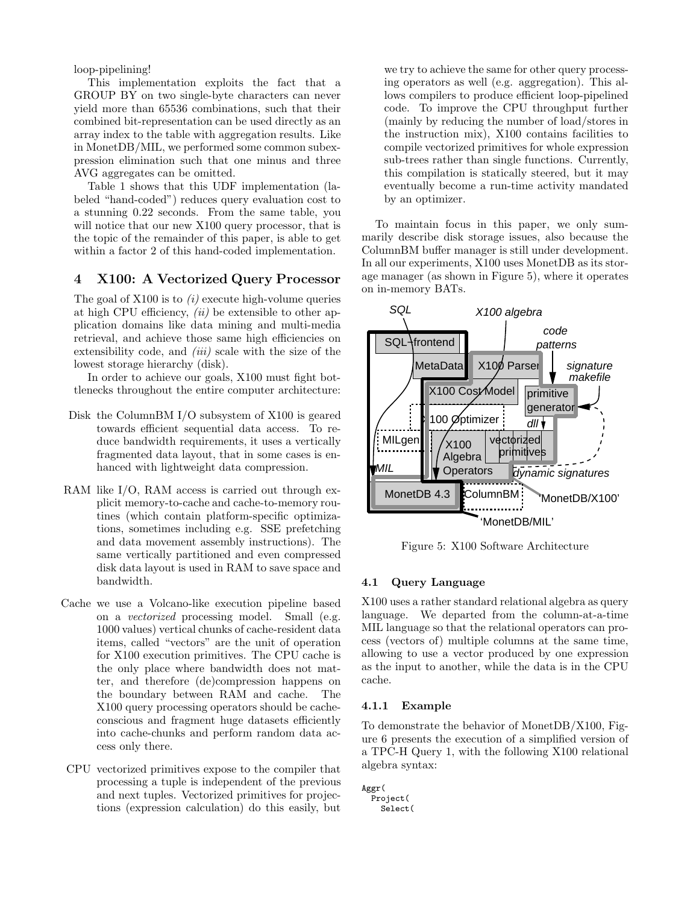loop-pipelining!

This implementation exploits the fact that a GROUP BY on two single-byte characters can never yield more than 65536 combinations, such that their combined bit-representation can be used directly as an array index to the table with aggregation results. Like in MonetDB/MIL, we performed some common subexpression elimination such that one minus and three AVG aggregates can be omitted.

Table 1 shows that this UDF implementation (labeled "hand-coded") reduces query evaluation cost to a stunning 0.22 seconds. From the same table, you will notice that our new X100 query processor, that is the topic of the remainder of this paper, is able to get within a factor 2 of this hand-coded implementation.

## 4 X100: A Vectorized Query Processor

The goal of  $X100$  is to  $(i)$  execute high-volume queries at high CPU efficiency,  $(ii)$  be extensible to other application domains like data mining and multi-media retrieval, and achieve those same high efficiencies on extensibility code, and *(iii)* scale with the size of the lowest storage hierarchy (disk).

In order to achieve our goals, X100 must fight bottlenecks throughout the entire computer architecture:

- Disk the ColumnBM I/O subsystem of X100 is geared towards efficient sequential data access. To reduce bandwidth requirements, it uses a vertically fragmented data layout, that in some cases is enhanced with lightweight data compression.
- RAM like I/O, RAM access is carried out through explicit memory-to-cache and cache-to-memory routines (which contain platform-specific optimizations, sometimes including e.g. SSE prefetching and data movement assembly instructions). The same vertically partitioned and even compressed disk data layout is used in RAM to save space and bandwidth.
- Cache we use a Volcano-like execution pipeline based on a vectorized processing model. Small (e.g. 1000 values) vertical chunks of cache-resident data items, called "vectors" are the unit of operation for X100 execution primitives. The CPU cache is the only place where bandwidth does not matter, and therefore (de)compression happens on the boundary between RAM and cache. The X100 query processing operators should be cacheconscious and fragment huge datasets efficiently into cache-chunks and perform random data access only there.
- CPU vectorized primitives expose to the compiler that processing a tuple is independent of the previous and next tuples. Vectorized primitives for projections (expression calculation) do this easily, but

we try to achieve the same for other query processing operators as well (e.g. aggregation). This allows compilers to produce efficient loop-pipelined code. To improve the CPU throughput further (mainly by reducing the number of load/stores in the instruction mix), X100 contains facilities to compile vectorized primitives for whole expression sub-trees rather than single functions. Currently, this compilation is statically steered, but it may eventually become a run-time activity mandated by an optimizer.

To maintain focus in this paper, we only summarily describe disk storage issues, also because the ColumnBM buffer manager is still under development. In all our experiments, X100 uses MonetDB as its storage manager (as shown in Figure 5), where it operates on in-memory BATs.



Figure 5: X100 Software Architecture

#### 4.1 Query Language

X100 uses a rather standard relational algebra as query language. We departed from the column-at-a-time MIL language so that the relational operators can process (vectors of) multiple columns at the same time, allowing to use a vector produced by one expression as the input to another, while the data is in the CPU cache.

#### 4.1.1 Example

To demonstrate the behavior of MonetDB/X100, Figure 6 presents the execution of a simplified version of a TPC-H Query 1, with the following X100 relational algebra syntax:

```
Aggr(
  Project(
   Select(
```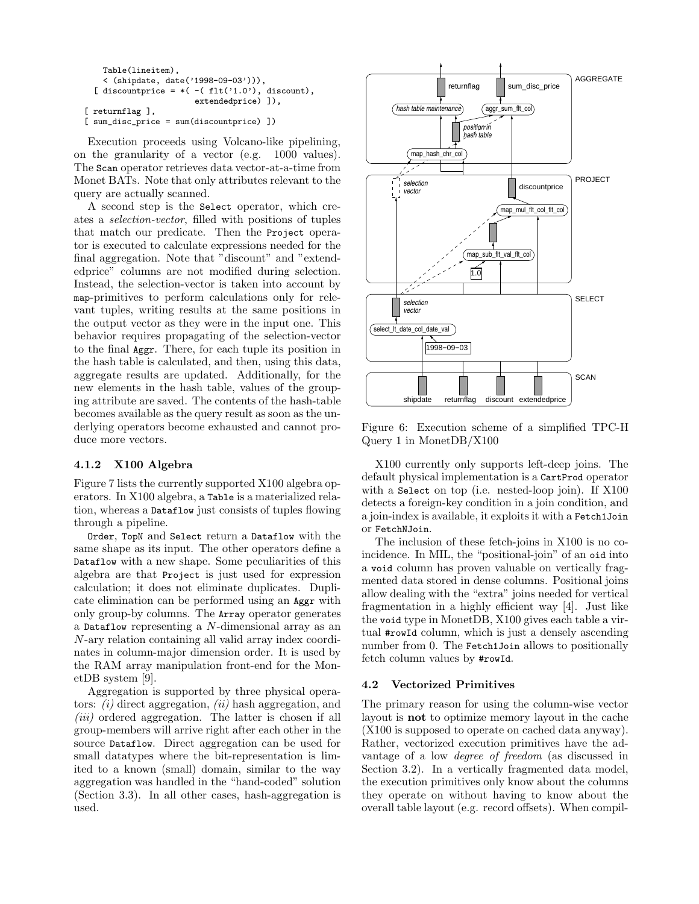```
Table(lineitem),
   < (shipdate, date('1998-09-03'))),
 [ discountprice = *(-( flt('1.0'), discount),
                       extendedprice) ]),
[ returnflag ],
[sum\_disc\_price = sum(discountprice)]
```
Execution proceeds using Volcano-like pipelining, on the granularity of a vector (e.g. 1000 values). The Scan operator retrieves data vector-at-a-time from Monet BATs. Note that only attributes relevant to the query are actually scanned.

A second step is the Select operator, which creates a selection-vector, filled with positions of tuples that match our predicate. Then the Project operator is executed to calculate expressions needed for the final aggregation. Note that "discount" and "extendedprice" columns are not modified during selection. Instead, the selection-vector is taken into account by map-primitives to perform calculations only for relevant tuples, writing results at the same positions in the output vector as they were in the input one. This behavior requires propagating of the selection-vector to the final Aggr. There, for each tuple its position in the hash table is calculated, and then, using this data, aggregate results are updated. Additionally, for the new elements in the hash table, values of the grouping attribute are saved. The contents of the hash-table becomes available as the query result as soon as the underlying operators become exhausted and cannot produce more vectors.

## 4.1.2 X100 Algebra

Figure 7 lists the currently supported X100 algebra operators. In X100 algebra, a Table is a materialized relation, whereas a Dataflow just consists of tuples flowing through a pipeline.

Order, TopN and Select return a Dataflow with the same shape as its input. The other operators define a Dataflow with a new shape. Some peculiarities of this algebra are that Project is just used for expression calculation; it does not eliminate duplicates. Duplicate elimination can be performed using an Aggr with only group-by columns. The Array operator generates a Dataflow representing a  $N$ -dimensional array as an N-ary relation containing all valid array index coordinates in column-major dimension order. It is used by the RAM array manipulation front-end for the MonetDB system [9].

Aggregation is supported by three physical operators:  $(i)$  direct aggregation,  $(ii)$  hash aggregation, and  $(iii)$  ordered aggregation. The latter is chosen if all group-members will arrive right after each other in the source Dataflow. Direct aggregation can be used for small datatypes where the bit-representation is limited to a known (small) domain, similar to the way aggregation was handled in the "hand-coded" solution (Section 3.3). In all other cases, hash-aggregation is used.



Figure 6: Execution scheme of a simplified TPC-H Query 1 in MonetDB/X100

X100 currently only supports left-deep joins. The default physical implementation is a CartProd operator with a Select on top (i.e. nested-loop join). If X100 detects a foreign-key condition in a join condition, and a join-index is available, it exploits it with a Fetch1Join or FetchNJoin.

The inclusion of these fetch-joins in X100 is no coincidence. In MIL, the "positional-join" of an oid into a void column has proven valuable on vertically fragmented data stored in dense columns. Positional joins allow dealing with the "extra" joins needed for vertical fragmentation in a highly efficient way [4]. Just like the void type in MonetDB, X100 gives each table a virtual #rowId column, which is just a densely ascending number from 0. The Fetch1Join allows to positionally fetch column values by #rowId.

# 4.2 Vectorized Primitives

The primary reason for using the column-wise vector layout is not to optimize memory layout in the cache (X100 is supposed to operate on cached data anyway). Rather, vectorized execution primitives have the advantage of a low degree of freedom (as discussed in Section 3.2). In a vertically fragmented data model, the execution primitives only know about the columns they operate on without having to know about the overall table layout (e.g. record offsets). When compil-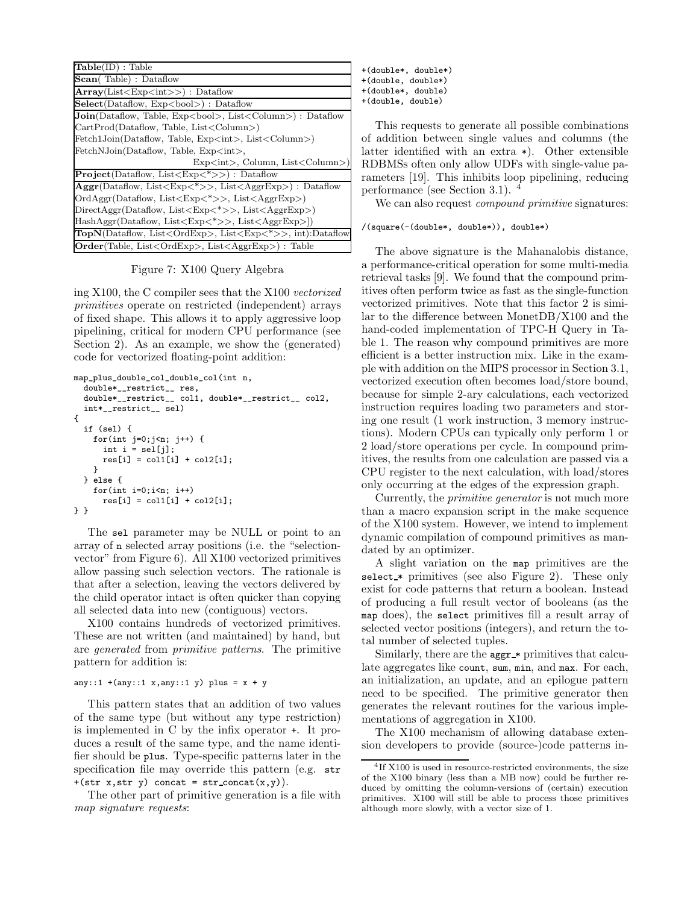| $Table(ID)$ : Table                                                                  |  |  |  |  |  |
|--------------------------------------------------------------------------------------|--|--|--|--|--|
| Scan(Table): Dataflow                                                                |  |  |  |  |  |
| Array(List < Exp < int >>) : Dataflow                                                |  |  |  |  |  |
| $Select(Dataflow, Exp)$ : Dataflow                                                   |  |  |  |  |  |
| <b>Join</b> (Dataflow, Table, Exp<br>bool>, List <column>) : Dataflow</column>       |  |  |  |  |  |
| CartProd(Dataflow, Table, List <column>)</column>                                    |  |  |  |  |  |
| Fetch1Join(Dataflow, Table, Exp <int>, List<column>)</column></int>                  |  |  |  |  |  |
| FetchNJoin(Dataflow, Table, Exp <int>,</int>                                         |  |  |  |  |  |
| Exp $\langle int \rangle$ , Column, List $\langle$ Column $\rangle$ )                |  |  |  |  |  |
| $\text{Project}(\text{Dataflow}, \text{List} \leq \text{Exp} \leq^* \gt)$ : Dataflow |  |  |  |  |  |
| $Aggr(Dataflow, List$ , List $\langle AggrExp\rangle$ : Dataflow                     |  |  |  |  |  |
| OrdAggr(Dataflow, List <exp<*>&gt;, List<aggrexp>)</aggrexp></exp<*>                 |  |  |  |  |  |
| $DirectAggr(Dataflow, List$ , $List$                                                 |  |  |  |  |  |
| HashAggr(Dataflow, List <exp<*>&gt;, List<aggrexp>])</aggrexp></exp<*>               |  |  |  |  |  |
| TopN(Dataflow, List <ordexp>, List<exp<*>&gt;, int):Dataflow</exp<*></ordexp>        |  |  |  |  |  |
| <b>Order</b> (Table, List <ordexp>, List<aggrexp>): Table</aggrexp></ordexp>         |  |  |  |  |  |

Figure 7: X100 Query Algebra

ing X100, the C compiler sees that the X100 vectorized primitives operate on restricted (independent) arrays of fixed shape. This allows it to apply aggressive loop pipelining, critical for modern CPU performance (see Section 2). As an example, we show the (generated) code for vectorized floating-point addition:

```
map_plus_double_col_double_col(int n,
  double*__restrict__ res,
  double*__restrict__ col1, double*__restrict__ col2,
  int*__restrict__ sel)
{
  if (sel) {
    for(int j=0;j<n; j++) {
      int i = \text{sel}[i];res[i] = col1[i] + col2[i];}
  } else {
    for(int i=0; i \le n; i++)res[i] = col1[i] + col2[i];} }
```
The sel parameter may be NULL or point to an array of n selected array positions (i.e. the "selectionvector" from Figure 6). All X100 vectorized primitives allow passing such selection vectors. The rationale is that after a selection, leaving the vectors delivered by the child operator intact is often quicker than copying all selected data into new (contiguous) vectors.

X100 contains hundreds of vectorized primitives. These are not written (and maintained) by hand, but are generated from primitive patterns. The primitive pattern for addition is:

```
any::1 + (\text{any}::1 \times, \text{any}::1 \text{ y}) plus = x + y
```
This pattern states that an addition of two values of the same type (but without any type restriction) is implemented in C by the infix operator +. It produces a result of the same type, and the name identifier should be plus. Type-specific patterns later in the specification file may override this pattern (e.g. str  $+(str x, str y)$  concat =  $str\_concat(x,y)$ .

The other part of primitive generation is a file with map signature requests:

+(double\*, double\*) +(double, double\*) +(double\*, double)

+(double, double)

This requests to generate all possible combinations of addition between single values and columns (the latter identified with an extra \*). Other extensible RDBMSs often only allow UDFs with single-value parameters [19]. This inhibits loop pipelining, reducing performance (see Section 3.1). <sup>4</sup>

We can also request *compound primitive* signatures:

/(square(-(double\*, double\*)), double\*)

The above signature is the Mahanalobis distance, a performance-critical operation for some multi-media retrieval tasks [9]. We found that the compound primitives often perform twice as fast as the single-function vectorized primitives. Note that this factor 2 is similar to the difference between MonetDB/X100 and the hand-coded implementation of TPC-H Query in Table 1. The reason why compound primitives are more efficient is a better instruction mix. Like in the example with addition on the MIPS processor in Section 3.1, vectorized execution often becomes load/store bound, because for simple 2-ary calculations, each vectorized instruction requires loading two parameters and storing one result (1 work instruction, 3 memory instructions). Modern CPUs can typically only perform 1 or 2 load/store operations per cycle. In compound primitives, the results from one calculation are passed via a CPU register to the next calculation, with load/stores only occurring at the edges of the expression graph.

Currently, the primitive generator is not much more than a macro expansion script in the make sequence of the X100 system. However, we intend to implement dynamic compilation of compound primitives as mandated by an optimizer.

A slight variation on the map primitives are the select  $*$  primitives (see also Figure 2). These only exist for code patterns that return a boolean. Instead of producing a full result vector of booleans (as the map does), the select primitives fill a result array of selected vector positions (integers), and return the total number of selected tuples.

Similarly, there are the aggr \* primitives that calculate aggregates like count, sum, min, and max. For each, an initialization, an update, and an epilogue pattern need to be specified. The primitive generator then generates the relevant routines for the various implementations of aggregation in X100.

The X100 mechanism of allowing database extension developers to provide (source-)code patterns in-

<sup>4</sup> If X100 is used in resource-restricted environments, the size of the X100 binary (less than a MB now) could be further reduced by omitting the column-versions of (certain) execution primitives. X100 will still be able to process those primitives although more slowly, with a vector size of 1.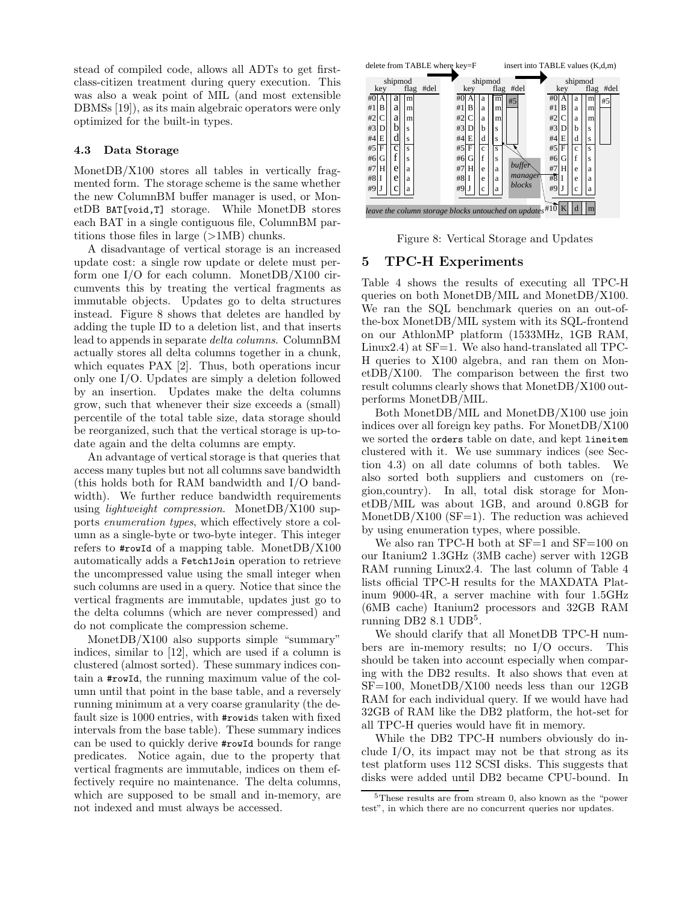stead of compiled code, allows all ADTs to get firstclass-citizen treatment during query execution. This was also a weak point of MIL (and most extensible DBMSs [19]), as its main algebraic operators were only optimized for the built-in types.

## 4.3 Data Storage

MonetDB/X100 stores all tables in vertically fragmented form. The storage scheme is the same whether the new ColumnBM buffer manager is used, or MonetDB BAT[void,T] storage. While MonetDB stores each BAT in a single contiguous file, ColumnBM partitions those files in large  $(>\,1\text{MB})$  chunks.

A disadvantage of vertical storage is an increased update cost: a single row update or delete must perform one I/O for each column. MonetDB/X100 circumvents this by treating the vertical fragments as immutable objects. Updates go to delta structures instead. Figure 8 shows that deletes are handled by adding the tuple ID to a deletion list, and that inserts lead to appends in separate delta columns. ColumnBM actually stores all delta columns together in a chunk, which equates PAX [2]. Thus, both operations incur only one I/O. Updates are simply a deletion followed by an insertion. Updates make the delta columns grow, such that whenever their size exceeds a (small) percentile of the total table size, data storage should be reorganized, such that the vertical storage is up-todate again and the delta columns are empty.

An advantage of vertical storage is that queries that access many tuples but not all columns save bandwidth (this holds both for RAM bandwidth and I/O bandwidth). We further reduce bandwidth requirements using *lightweight compression*. MonetDB/X100 supports enumeration types, which effectively store a column as a single-byte or two-byte integer. This integer refers to  $\text{#rowId}$  of a mapping table. MonetDB/X100 automatically adds a Fetch1Join operation to retrieve the uncompressed value using the small integer when such columns are used in a query. Notice that since the vertical fragments are immutable, updates just go to the delta columns (which are never compressed) and do not complicate the compression scheme.

MonetDB/X100 also supports simple "summary" indices, similar to [12], which are used if a column is clustered (almost sorted). These summary indices contain a #rowId, the running maximum value of the column until that point in the base table, and a reversely running minimum at a very coarse granularity (the default size is 1000 entries, with #rowids taken with fixed intervals from the base table). These summary indices can be used to quickly derive #rowId bounds for range predicates. Notice again, due to the property that vertical fragments are immutable, indices on them effectively require no maintenance. The delta columns, which are supposed to be small and in-memory, are not indexed and must always be accessed.



Figure 8: Vertical Storage and Updates

## 5 TPC-H Experiments

Table 4 shows the results of executing all TPC-H queries on both MonetDB/MIL and MonetDB/X100. We ran the SQL benchmark queries on an out-ofthe-box MonetDB/MIL system with its SQL-frontend on our AthlonMP platform (1533MHz, 1GB RAM, Linux2.4) at  $SF=1$ . We also hand-translated all TPC-H queries to X100 algebra, and ran them on MonetDB/X100. The comparison between the first two result columns clearly shows that MonetDB/X100 outperforms MonetDB/MIL.

Both MonetDB/MIL and MonetDB/X100 use join indices over all foreign key paths. For MonetDB/X100 we sorted the orders table on date, and kept lineitem clustered with it. We use summary indices (see Section 4.3) on all date columns of both tables. We also sorted both suppliers and customers on (region,country). In all, total disk storage for MonetDB/MIL was about 1GB, and around 0.8GB for MonetDB/X100 ( $SF=1$ ). The reduction was achieved by using enumeration types, where possible.

We also ran TPC-H both at  $SF=1$  and  $SF=100$  on our Itanium2 1.3GHz (3MB cache) server with 12GB RAM running Linux2.4. The last column of Table 4 lists official TPC-H results for the MAXDATA Platinum 9000-4R, a server machine with four 1.5GHz (6MB cache) Itanium2 processors and 32GB RAM  $\sum_{i=1}^{\infty}$  DB2 8.1 UDB<sup>5</sup>.

We should clarify that all MonetDB TPC-H numbers are in-memory results; no I/O occurs. This should be taken into account especially when comparing with the DB2 results. It also shows that even at SF=100, MonetDB/X100 needs less than our 12GB RAM for each individual query. If we would have had 32GB of RAM like the DB2 platform, the hot-set for all TPC-H queries would have fit in memory.

While the DB2 TPC-H numbers obviously do include I/O, its impact may not be that strong as its test platform uses 112 SCSI disks. This suggests that disks were added until DB2 became CPU-bound. In

<sup>5</sup>These results are from stream 0, also known as the "power test", in which there are no concurrent queries nor updates.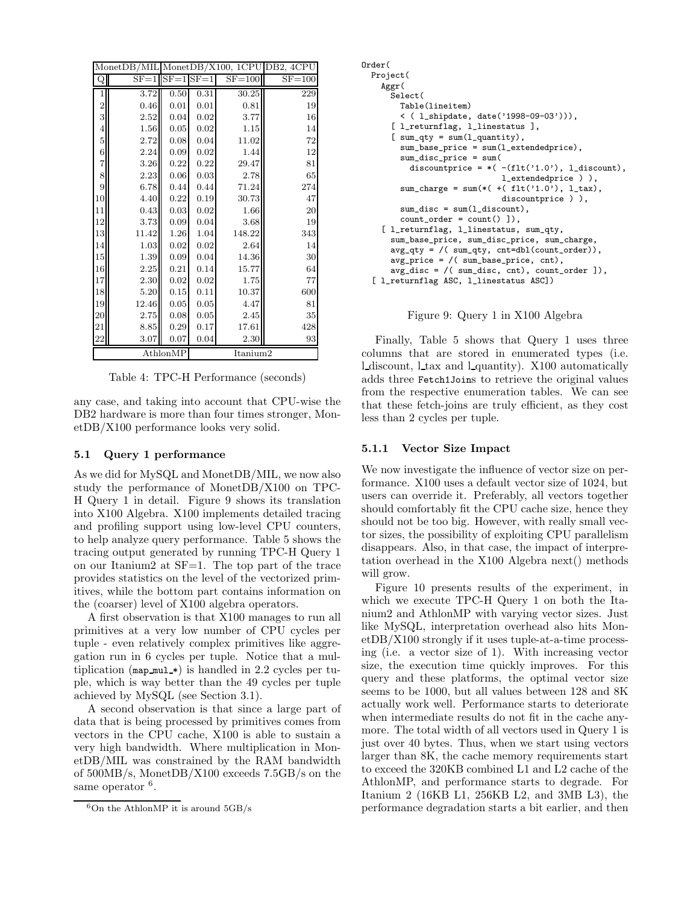|                | MonetDB/MIL |          |          | MonetDB/X100, 1CPU | DB2, 4CPU  |
|----------------|-------------|----------|----------|--------------------|------------|
| Q              | $SF = 1$    | $SF = 1$ | $SF = 1$ | $SF = 100$         | $SF = 100$ |
| 1              | 3.72        | 0.50     | 0.31     | 30.25              | 229        |
| $\overline{2}$ | 0.46        | 0.01     | 0.01     | 0.81               | 19         |
| 3              | 2.52        | 0.04     | 0.02     | 3.77               | 16         |
| $\overline{4}$ | 1.56        | 0.05     | 0.02     | 1.15               | 14         |
| 5              | 2.72        | 0.08     | 0.04     | 11.02              | 72         |
| 6              | 2.24        | 0.09     | 0.02     | 1.44               | 12         |
| 7              | 3.26        | 0.22     | 0.22     | 29.47              | 81         |
| 8              | 2.23        | 0.06     | 0.03     | 2.78               | 65         |
| 9              | 6.78        | 0.44     | 0.44     | 71.24              | 274        |
| 10             | 4.40        | 0.22     | 0.19     | 30.73              | 47         |
| 11             | 0.43        | 0.03     | 0.02     | 1.66               | 20         |
| $12\,$         | 3.73        | 0.09     | 0.04     | 3.68               | 19         |
| 13             | 11.42       | 1.26     | 1.04     | 148.22             | 343        |
| 14             | 1.03        | 0.02     | 0.02     | 2.64               | 14         |
| $15\,$         | 1.39        | 0.09     | 0.04     | 14.36              | 30         |
| 16             | 2.25        | 0.21     | 0.14     | 15.77              | 64         |
| 17             | 2.30        | 0.02     | 0.02     | 1.75               | 77         |
| 18             | 5.20        | 0.15     | 0.11     | 10.37              | 600        |
| 19             | 12.46       | 0.05     | 0.05     | 4.47               | 81         |
| $20\,$         | 2.75        | 0.08     | 0.05     | $2.45\,$           | 35         |
| 21             | 8.85        | 0.29     | 0.17     | 17.61              | 428        |
| $\bf{22}$      | 3.07        | 0.07     | 0.04     | 2.30               | 93         |
|                |             | AthlonMP |          | Itanium2           |            |

Table 4: TPC-H Performance (seconds)

any case, and taking into account that CPU-wise the DB2 hardware is more than four times stronger, MonetDB/X100 performance looks very solid.

## 5.1 Query 1 performance

As we did for MySQL and MonetDB/MIL, we now also study the performance of MonetDB/X100 on TPC-H Query 1 in detail. Figure 9 shows its translation into X100 Algebra. X100 implements detailed tracing and profiling support using low-level CPU counters, to help analyze query performance. Table 5 shows the tracing output generated by running TPC-H Query 1 on our Itanium2 at SF=1. The top part of the trace provides statistics on the level of the vectorized primitives, while the bottom part contains information on the (coarser) level of X100 algebra operators.

A first observation is that X100 manages to run all primitives at a very low number of CPU cycles per tuple - even relatively complex primitives like aggregation run in 6 cycles per tuple. Notice that a multiplication (map mul  $\ast$ ) is handled in 2.2 cycles per tuple, which is way better than the 49 cycles per tuple achieved by MySQL (see Section 3.1).

A second observation is that since a large part of data that is being processed by primitives comes from vectors in the CPU cache, X100 is able to sustain a very high bandwidth. Where multiplication in MonetDB/MIL was constrained by the RAM bandwidth of 500MB/s, MonetDB/X100 exceeds 7.5GB/s on the same operator <sup>6</sup>.

```
Order(
  Project(
    Aggr(
      Select(
        Table(lineitem)
        < ( l_shipdate, date('1998-09-03'))),
      [ l_returnflag, l_linestatus ],
      [ sum_qty = sum(1_quantity),
        sum_base_price = sum(l_extendedprice),
        sum_disc_price = sum(
          discountprice = *(-(flt('1.0')), l_discount),
                             l_extendedprice ) ),
        sum\_charge = sum(*(+fit('1.0'), 1\_tax),discountprice ) ),
        sum\_disc = sum(1\_discount),
        count_order = count() ]),
    [ l_returnflag, l_linestatus, sum_qty,
      sum_base_price, sum_disc_price, sum_charge,
      avg_qty = /( sum_qty, cnt=dbl(count_order)),
      avg_price = /( sum_base_price, cnt),
      avg_disc = /( sum_disc, cnt), count_order ]),
  [ l_returnflag ASC, l_linestatus ASC])
```


Finally, Table 5 shows that Query 1 uses three columns that are stored in enumerated types (i.e. l discount, l tax and l quantity). X100 automatically adds three Fetch1Joins to retrieve the original values from the respective enumeration tables. We can see that these fetch-joins are truly efficient, as they cost less than 2 cycles per tuple.

## 5.1.1 Vector Size Impact

We now investigate the influence of vector size on performance. X100 uses a default vector size of 1024, but users can override it. Preferably, all vectors together should comfortably fit the CPU cache size, hence they should not be too big. However, with really small vector sizes, the possibility of exploiting CPU parallelism disappears. Also, in that case, the impact of interpretation overhead in the X100 Algebra next() methods will grow.

Figure 10 presents results of the experiment, in which we execute TPC-H Query 1 on both the Itanium2 and AthlonMP with varying vector sizes. Just like MySQL, interpretation overhead also hits MonetDB/X100 strongly if it uses tuple-at-a-time processing (i.e. a vector size of 1). With increasing vector size, the execution time quickly improves. For this query and these platforms, the optimal vector size seems to be 1000, but all values between 128 and 8K actually work well. Performance starts to deteriorate when intermediate results do not fit in the cache anymore. The total width of all vectors used in Query 1 is just over 40 bytes. Thus, when we start using vectors larger than 8K, the cache memory requirements start to exceed the 320KB combined L1 and L2 cache of the AthlonMP, and performance starts to degrade. For Itanium 2 (16KB L1, 256KB L2, and 3MB L3), the performance degradation starts a bit earlier, and then

 $6$ On the AthlonMP it is around  $5GB/s$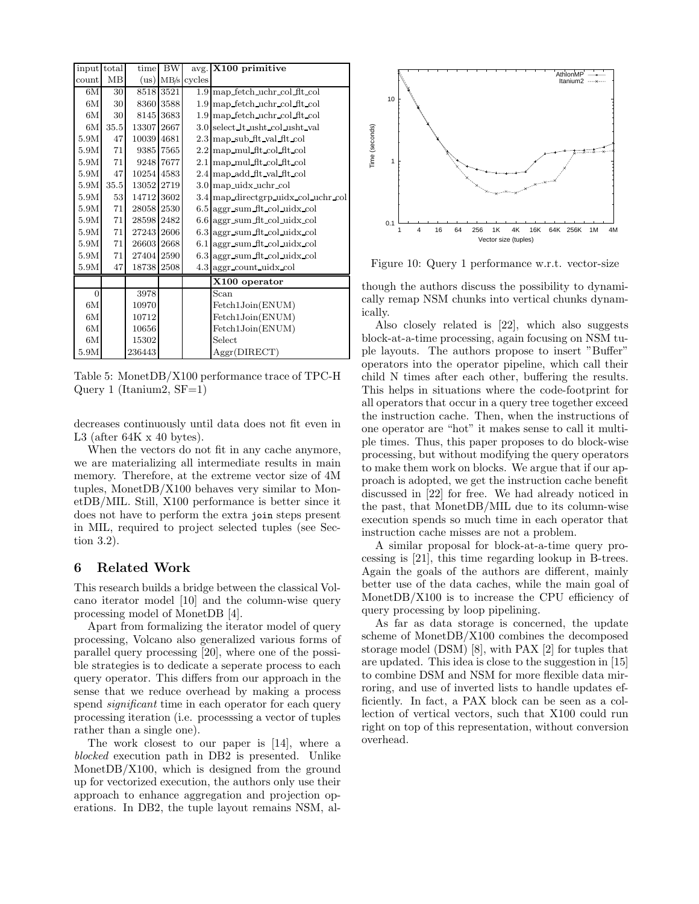| input total    |      | time       | <b>BW</b> |        | $avg.$ X100 primitive                    |
|----------------|------|------------|-----------|--------|------------------------------------------|
| count          | MB   | (us)       | MB/s      | cycles |                                          |
| 6M             | 30   |            | 8518 3521 |        | 1.9 map fetch uchr col flt col           |
| 6M             | 30   | 8360       | 3588      |        | 1.9 map fetch uchr col flt col           |
| 6M             | 30   | 8145       | 3683      |        | $1.9 \text{ map}$ fetch uchr col fit col |
| 6M             | 35.5 | 13307      | 2667      |        | 3.0 select_lt_usht_col_usht_val          |
| 5.9M           | 47   | 10039      | 4681      |        | $2.3 \text{ map}$ sub fit val fit col    |
| 5.9M           | 71   | 9385       | 7565      |        | $2.2 \text{ map}$ mul fit col fit col    |
| 5.9M           | 71   | 9248       | 7677      |        | 2.1 map mul fit col fit col              |
| 5.9M           | 47   | 10254 4583 |           |        | 2.4 map add flt val flt col              |
| 5.9M           | 35.5 | 13052      | 2719      |        | $3.0 \text{ map }$ uidx uchr col         |
| 5.9M           | 53   | 14712      | 3602      |        | 3.4 map directgrp uidx col uchr col      |
| 5.9M           | 71   | 28058      | 2530      |        | $6.5$ aggr sum flt col uidx col          |
| 5.9M           | 71   | 28598      | 2482      |        | $6.6$ aggr sum fit col uidx col          |
| 5.9M           | 71   | 27243      | 2606      |        | $6.3$ aggr sum fit col uidx col          |
| 5.9M           | 71   | 26603      | 2668      |        | 6.1 aggr_sum_flt_col_uidx_col            |
| 5.9M           | 71   | 27404      | 2590      |        | $6.3$ aggr sum fit col uidx col          |
| 5.9M           | 47   | 18738      | 2508      |        | 4.3 aggr count uidx col                  |
|                |      |            |           |        | X100 operator                            |
| $\overline{0}$ |      | 3978       |           |        | Scan                                     |
| 6M             |      | 10970      |           |        | Fetch1Join(ENUM)                         |
| 6M             |      | 10712      |           |        | Fetch1Join(ENUM)                         |
| 6M             |      | 10656      |           |        | Fetch1Join(ENUM)                         |
| 6M             |      | 15302      |           |        | Select                                   |
| 5.9M           |      | 236443     |           |        | Aggr(DIRECT)                             |

Table 5: MonetDB/X100 performance trace of TPC-H Query 1 (Itanium2,  $SF=1$ )

decreases continuously until data does not fit even in L3 (after  $64K \times 40$  bytes).

When the vectors do not fit in any cache anymore, we are materializing all intermediate results in main memory. Therefore, at the extreme vector size of 4M tuples, MonetDB/X100 behaves very similar to MonetDB/MIL. Still, X100 performance is better since it does not have to perform the extra join steps present in MIL, required to project selected tuples (see Section 3.2).

# 6 Related Work

This research builds a bridge between the classical Volcano iterator model [10] and the column-wise query processing model of MonetDB [4].

Apart from formalizing the iterator model of query processing, Volcano also generalized various forms of parallel query processing [20], where one of the possible strategies is to dedicate a seperate process to each query operator. This differs from our approach in the sense that we reduce overhead by making a process spend *significant* time in each operator for each query processing iteration (i.e. processsing a vector of tuples rather than a single one).

The work closest to our paper is [14], where a blocked execution path in DB2 is presented. Unlike MonetDB/X100, which is designed from the ground up for vectorized execution, the authors only use their approach to enhance aggregation and projection operations. In DB2, the tuple layout remains NSM, al-



Figure 10: Query 1 performance w.r.t. vector-size

though the authors discuss the possibility to dynamically remap NSM chunks into vertical chunks dynamically.

Also closely related is [22], which also suggests block-at-a-time processing, again focusing on NSM tuple layouts. The authors propose to insert "Buffer" operators into the operator pipeline, which call their child N times after each other, buffering the results. This helps in situations where the code-footprint for all operators that occur in a query tree together exceed the instruction cache. Then, when the instructions of one operator are "hot" it makes sense to call it multiple times. Thus, this paper proposes to do block-wise processing, but without modifying the query operators to make them work on blocks. We argue that if our approach is adopted, we get the instruction cache benefit discussed in [22] for free. We had already noticed in the past, that MonetDB/MIL due to its column-wise execution spends so much time in each operator that instruction cache misses are not a problem.

A similar proposal for block-at-a-time query processing is [21], this time regarding lookup in B-trees. Again the goals of the authors are different, mainly better use of the data caches, while the main goal of MonetDB/X100 is to increase the CPU efficiency of query processing by loop pipelining.

As far as data storage is concerned, the update scheme of MonetDB/X100 combines the decomposed storage model (DSM) [8], with PAX [2] for tuples that are updated. This idea is close to the suggestion in [15] to combine DSM and NSM for more flexible data mirroring, and use of inverted lists to handle updates efficiently. In fact, a PAX block can be seen as a collection of vertical vectors, such that X100 could run right on top of this representation, without conversion overhead.